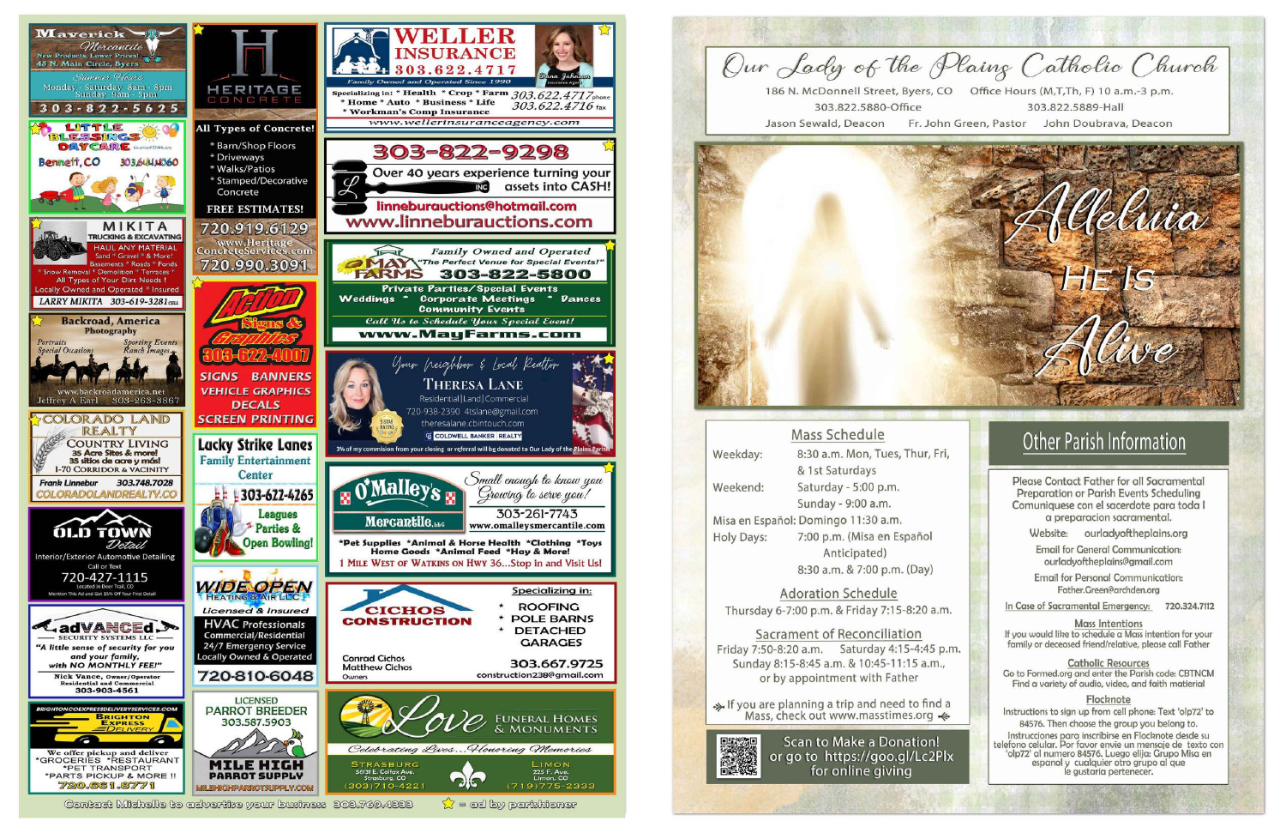



|                   | <b>Mass Schedule</b>                |
|-------------------|-------------------------------------|
| Weekday:          | 8:30 a.m. Mon, Tues, Thur, Fri      |
|                   | & 1st Saturdays                     |
| Weekend:          | Saturday - 5:00 p.m.                |
|                   | Sunday - 9:00 a.m.                  |
|                   | Misa en Español: Domingo 11:30 a.m. |
| <b>Holy Days:</b> | 7:00 p.m. (Misa en Español          |
|                   | Anticipated)                        |
|                   | 8:30 a.m. & 7:00 p.m. (Day)         |
|                   | 사용실 어린 그는 아이들이 아이들이 공격을 받아 보여 있었다.  |

**Adoration Schedule** Thursday 6-7:00 p.m. & Friday 7:15-8:20 a.m.

Sacrament of Reconciliation Friday 7:50-8:20 a.m. Saturday 4:15-4:45 p.m. Sunday 8:15-8:45 a.m. & 10:45-11:15 a.m., or by appointment with Father

If you are planning a trip and need to find a Mass, check out www.masstimes.org  $\triangleleft$ 



**Scan to Make a Donation!** or go to https://goo.gl/Lc2Plx for online giving

# **Other Parish Information**

Please Contact Father for all Sacramental Preparation or Parish Events Scheduling Comuniquese con el sacerdote para toda l a preparacion sacramental.

Website: ourladyoftheplains.org

**Email for General Communication:** ourladyoftheplains@gmail.com

**Email for Personal Communication:** Father.Green@archden.org

In Case of Sacramental Emergency: 720.324.7112

**Mass Intentions** If you would like to schedule a Mass intention for your family or deceased friend/relative, please call Father

**Catholic Resources** Go to Formed.org and enter the Parish code: CBTNCM Find a variety of audio, video, and faith matierial

Flocknote Instructions to sign up from cell phone: Text 'olp72' to 84576. Then choose the group you belong to.

Instrucciones para inscribirse en Flocknote desde su telefono celular. Por favor envie un mensaje de texto con 'olp72' al numero 84576. Luego elija: Grupo Misa en espanol y cualquier otro grupo al que le gustaria pertenecer.